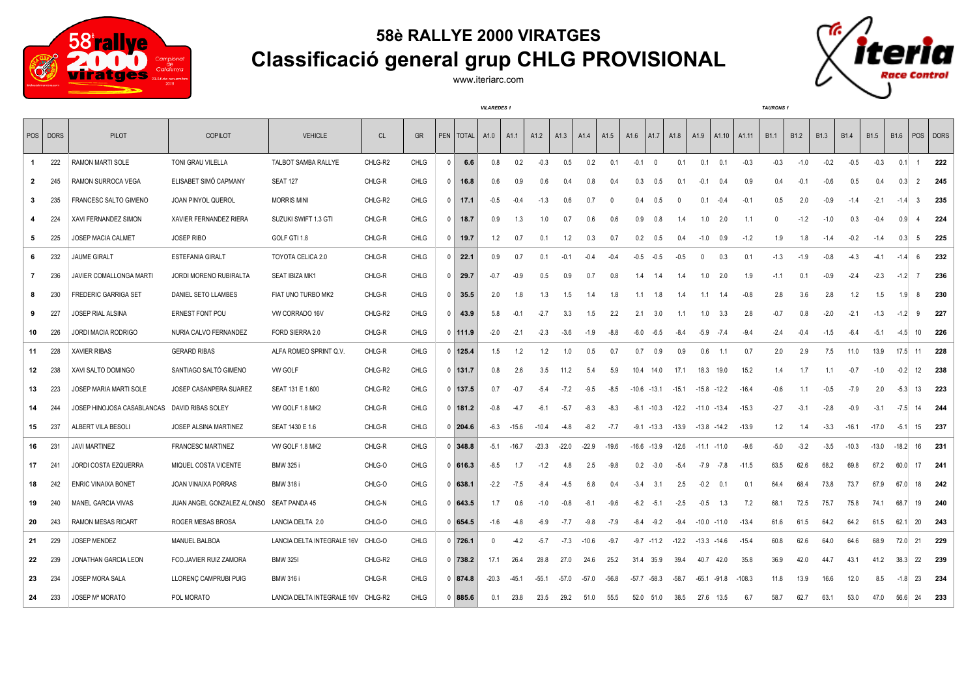

## **58è RALLYE 2000 VIRATGES Classificació general grup CHLG PROVISIONAL**

www.iteriarc.com

*VILAREDES 1 TAURONS 1*



POS | DORS | PILOT | COPILOT | VEHICLE | CL | GR |PEN |TOTAL | A1.1 | A1.2 | A1.3 | A1.4 | A1.5 | A1.5 | A1.10 | A1.10 | A1.11 | B1.1 | B1.2 | B1.3 | B1.4 | B1.5 | B1.6 |POS |DORS 222 RAMON MARTI SOLE TONI GRAU VILELLA TALBOT SAMBA RALLYE CHLG-R2 CHLG 0 **6.6** 0.8 0.2 -0.3 0.5 0.2 0.1 -0.1 0 0.1 0.1 0.1 -0.3 -0.3 -1.0 -0.2 -0.5 -0.3 0.1 1 **222** 245 RAMON SURROCA VEGA ELISABET SIMÓ CAPMANY SEAT 127 CHLG-R CHLG 0 **16.8** 0.6 0.9 0.6 0.4 0.8 0.4 0.3 0.5 0.1 -0.1 0.4 0.9 0.4 -0.1 -0.6 0.5 0.4 0.3 2 **245** 235 FRANCESC SALTO GIMENO JOAN PINYOL QUEROL MORRIS MINI CHLG-R2 CHLG 0 **17.1** -0.5 -0.4 -1.3 0.6 0.7 0 0.4 0.5 0 0.1 -0.4 -0.1 0.5 2.0 -0.9 -1.4 -2.1 -1.4 3 **235** 224 XAVI FERNANDEZ SIMON XAVIER FERNANDEZ RIERA SUZUKI SWIFT 1.3 GTI CHLG-R CHLG 0 **18.7** 0.9 1.3 1.0 0.7 0.6 0.6 0.9 0.8 1.4 1.0 2.0 1.1 0 -1.2 -1.0 0.3 -0.4 0.9 4 **224** 225 JOSEP MACIA CALMET JOSEP RIBO GOLF GTI 1.8 CHLG-R CHLG 0 **19.7** 1.2 0.7 0.1 1.2 0.3 0.7 0.2 0.5 0.4 -1.0 0.9 -1.2 1.9 1.8 -1.4 -0.2 -1.4 0.3 5 **225** 232 JAUME GIRALT ESTEFANIA GIRALT TOYOTA CELICA 2.0 CHLG-R CHLG 0 **22.1** 0.9 0.7 0.1 -0.1 -0.4 -0.4 -0.5 -0.5 -0.5 0 0.3 0.1 -1.3 -1.9 -0.8 -4.3 -4.1 -1.4 6 **232** 236 JAVIER COMALLONGA MARTI JORDI MORENO RUBIRALTA SEAT IBIZA MK1 CHLG-R CHLG 0 **29.7** -0.7 -0.9 0.5 0.9 0.7 0.8 1.4 1.4 1.4 1.0 2.0 1.9 -1.1 0.1 -0.9 -2.4 -2.3 -1.2 7 **236** 230 FREDERIC GARRIGA SET DANIEL SETO LLAMBES FIAT UNO TURBO MK2 CHLG-R CHLG 0 **35.5** 2.0 1.8 1.3 1.5 1.4 1.8 1.1 1.8 1.4 1.1 1.4 -0.8 2.8 3.6 2.8 1.2 1.5 1.9 8 **230** 227 JOSEP RIAL ALSINA ERNEST FONT POU VW CORRADO 16V CHLG-R2 CHLG 0 **43.9** 5.8 -0.1 -2.7 3.3 1.5 2.2 2.1 3.0 1.1 1.0 3.3 2.8 -0.7 0.8 -2.0 -2.1 -1.3 -1.2 9 **227** 226 JORDI MACIA RODRIGO NURIA CALVO FERNANDEZ FORD SIERRA 2.0 CHLG-R CHLG 0 **111.9** -2.0 -2.1 -2.3 -3.6 -1.9 -8.8 -6.0 -6.5 -8.4 -5.9 -7.4 -9.4 -2.4 -0.4 -1.5 -6.4 -5.1 -4.5 10 **226** 228 XAVIER RIBAS GERARD RIBAS ALFA ROMEO SPRINT Q.V. CHLG-R CHLG 0 **125.4** 1.5 1.2 1.2 1.0 0.5 0.7 0.7 0.9 0.9 0.6 1.1 0.7 2.0 2.9 7.5 11.0 13.9 17.5 11 **228** 238 XAVI SALTO DOMINGO SANTIAGO SALTÓ GIMENO VW GOLF CHLG-R2 CHLG 0 **131.7** 0.8 2.6 3.5 11.2 5.4 5.9 10.4 14.0 17.1 18.3 19.0 15.2 1.4 1.7 1.1 -0.7 -1.0 -0.2 12 **238** 223 JOSEP MARIA MARTI SOLE JOSEP CASANPERA SUAREZ SEAT 131 E 1.600 CHLG-R2 CHLG 0 **137.5** 0.7 -0.7 -5.4 -7.2 -9.5 -8.5 -10.6 -13.1 -15.1 -15.8 -12.2 -16.4 -0.6 1.1 -0.5 -7.9 2.0 -5.3 13 **223** 244 JOSEP HINOJOSA CASABLANCAS DAVID RIBAS SOLEY VW GOLF 1.8 MK2 CHLG-R CHLG 0 **181.2** -0.8 -4.7 -6.1 -5.7 -8.3 -8.3 -8.1 -10.3 -12.2 -11.0 -13.4 -15.3 -2.7 -3.1 -2.8 -0.9 -3.1 -7.5 14 **244** 237 ALBERT VILA BESOLI JOSEP ALSINA MARTINEZ SEAT 1430 E 1.6 CHLG-R CHLG 0 **204.6** -6.3 -15.6 -10.4 -4.8 -8.2 -7.7 -9.1 -13.3 -13.9 -13.8 -14.2 -13.9 1.2 1.4 -3.3 -16.1 -17.0 -5.1 15 **237** 231 JAVI MARTINEZ FRANCESC MARTINEZ VW GOLF 1.8 MK2 CHLG-R CHLG 0 **348.8** -5.1 -16.7 -23.3 -22.0 -22.9 -19.6 -16.6 -13.9 -12.6 -11.1 -11.0 -9.6 -5.0 -3.2 -3.5 -10.3 -13.0 -18.2 16 **231** 241 JORDI COSTA EZQUERRA MIQUEL COSTA VICENTE BMW 325 i CHLG-O CHLG 0 **616.3** -8.5 1.7 -1.2 4.8 2.5 -9.8 0.2 -3.0 -5.4 -7.9 -7.8 -11.5 63.5 62.6 68.2 69.8 67.2 60.0 17 **241** 242 ENRIC VINAIXA BONET JOAN VINAIXA PORRAS BMW 318 i CHLG-O CHLG 0 **638.1** -2.2 -7.5 -8.4 -4.5 6.8 0.4 -3.4 3.1 2.5 -0.2 0.1 0.1 64.4 68.4 73.8 73.7 67.9 67.0 18 **242** 240 MANEL GARCIA VIVAS JUAN ANGEL GONZALEZ ALONSO SEAT PANDA 45 CHLG-N CHLG 0 **643.5** 1.7 0.6 -1.0 -0.8 -8.1 -9.6 -6.2 -5.1 -2.5 -0.5 1.3 7.2 68.1 72.5 75.7 75.8 74.1 68.7 19 **240** 243 RAMON MESAS RICART ROGER MESAS BROSA LANCIA DELTA 2.0 CHLG-O CHLG 0 **654.5** -1.6 -4.8 -6.9 -7.7 -9.8 -7.9 -8.4 -9.2 -9.4 -10.0 -11.0 -13.4 61.6 61.5 64.2 64.2 61.5 62.1 20 **243** 229 JOSEP MENDEZ MANUEL BALBOA LANCIA DELTA INTEGRALE 16V CHLG-O CHLG 0 **726.1** 0 -4.2 -5.7 -7.3 -10.6 -9.7 -9.7 -11.2 -12.2 -13.3 -14.6 -15.4 60.8 62.6 64.0 64.6 68.9 72.0 21 **229** 239 JONATHAN GARCIA LEON FCO.JAVIER RUIZ ZAMORA BMW 325I CHLG-R2 CHLG 0 **738.2** 17.1 26.4 28.8 27.0 24.6 25.2 31.4 35.9 39.4 40.7 42.0 35.8 36.9 42.0 44.7 43.1 41.2 38.3 22 **239** 234 JOSEP MORA SALA LLORENÇ CAMPRUBI PUIG BMW 316 i CHLG-R CHLG 0 **874.8** -20.3 -45.1 -55.1 -57.0 -57.0 -56.8 -57.7 -58.3 -58.7 -65.1 -91.8 -108.3 11.8 13.9 16.6 12.0 8.5 -1.8 23 **234** 233 JOSEP Mª MORATO POL MORATO LANCIA DELTA INTEGRALE 16V CHLG-R2 CHLG 0 **885.6** 0.1 23.8 23.5 29.2 51.0 55.5 52.0 51.0 38.5 27.6 13.5 6.7 58.7 62.7 63.1 53.0 47.0 56.6 24 **233**